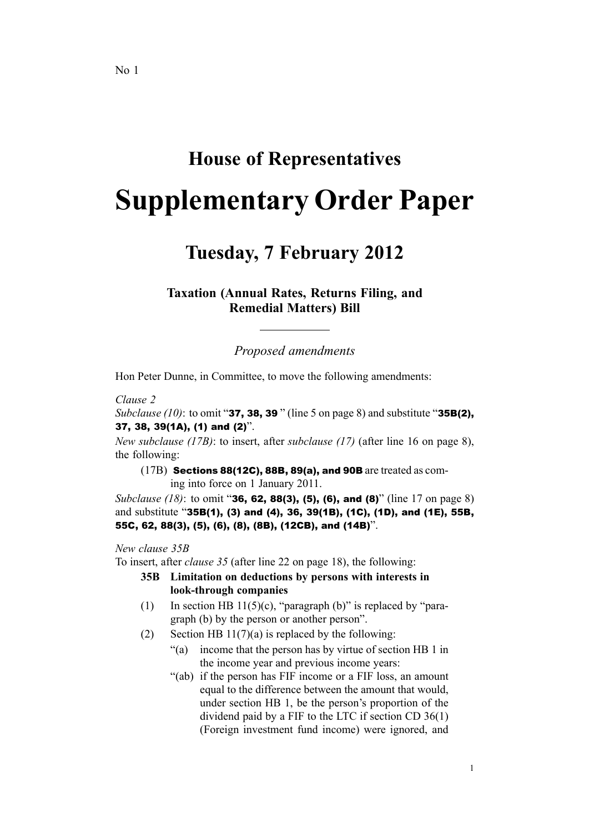# **House of Representatives**

# **Supplementary Order Paper**

# **Tuesday, 7 February 2012**

**Taxation (Annual Rates, Returns Filing, and Remedial Matters) Bill**

*Proposed amendments*

Hon Peter Dunne, in Committee, to move the following amendments:

#### *Clause 2*

*Subclause (10)*: to omit "37, 38, <sup>39</sup> " (line 5 on page 8) and substitute "35B(2), 37, 38, 39(1A), (1) and (2)".

*New subclause (17B)*: to insert, after *subclause (17)* (after line 16 on page 8), the following:

(17B) Sections 88(12C), 88B, 89(a), and 90B are treated as com-

ing into force on 1 January 2011.

*Subclause* (18): to omit "**36, 62, 88(3), (5), (6), and (8)**" (line 17 on page 8) and substitute "35B(1), (3) and (4), 36, 39(1B), (1C), (1D), and (1E), 55B, 55C, 62, 88(3), (5), (6), (8), (8B), (12CB), and (14B)".

#### *New clause 35B*

To insert, after *clause 35* (after line 22 on page 18), the following:

- **35B Limitation on deductions by persons with interests in look-through companies**
- (1) In section HB 11(5)(c), "paragraph (b)" is replaced by "paragraph (b) by the person or another person".
- (2) Section HB  $11(7)(a)$  is replaced by the following:
	- "(a) income that the person has by virtue of section HB 1 in the income year and previous income years:
	- "(ab) if the person has FIF income or <sup>a</sup> FIF loss, an amount equal to the difference between the amount that would, under section HB 1, be the person's proportion of the dividend paid by <sup>a</sup> FIF to the LTC if section CD 36(1) (Foreign investment fund income) were ignored, and

1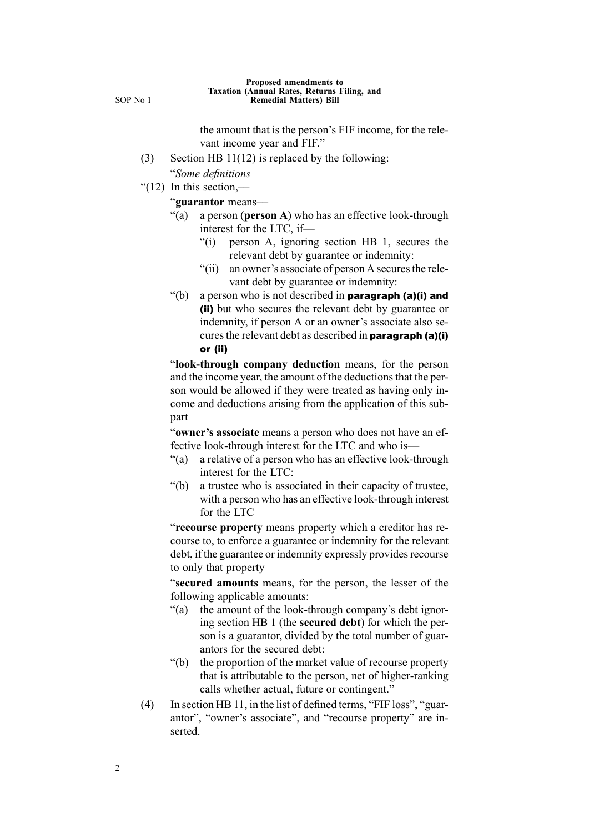SOP No 1

the amount that is the person's FIF income, for the relevant income year and FIF."

- (3) Section HB 11(12) is replaced by the following:
- "*Some definitions*
- " $(12)$  In this section,—

"**guarantor** means––

- "(a) <sup>a</sup> person (**person A**) who has an effective look-through interest for the LTC, if—
	- "(i) person A, ignoring section HB 1, secures the relevant debt by guarantee or indemnity:
	- " $(iii)$  an owner's associate of person A secures the relevant debt by guarantee or indemnity:
- $\degree$ (b) a person who is not described in **paragraph (a)(i) and** (ii) but who secures the relevant debt by guarantee or indemnity, if person A or an owner's associate also secures the relevant debt as described in **paragraph (a)(i)** or (ii)

"**look-through company deduction** means, for the person and the income year, the amount of the deductions that the person would be allowed if they were treated as having only income and deductions arising from the application of this subpart

"**owner's associate** means <sup>a</sup> person who does not have an effective look-through interest for the LTC and who is—

- "(a) <sup>a</sup> relative of <sup>a</sup> person who has an effective look-through interest for the LTC:
- "(b) <sup>a</sup> trustee who is associated in their capacity of trustee, with <sup>a</sup> person who has an effective look-through interest for the LTC

"**recourse property** means property which <sup>a</sup> creditor has recourse to, to enforce <sup>a</sup> guarantee or indemnity for the relevant debt, if the guarantee or indemnity expressly provides recourse to only that property

"**secured amounts** means, for the person, the lesser of the following applicable amounts:

- "(a) the amount of the look-through company's debt ignoring section HB 1 (the **secured debt**) for which the person is <sup>a</sup> guarantor, divided by the total number of guarantors for the secured debt:
- "(b) the proportion of the market value of recourse property that is attributable to the person, net of higher-ranking calls whether actual, future or contingent."
- (4) In section HB 11, in the list of defined terms, "FIF loss", "guarantor", "owner's associate", and "recourse property" are inserted.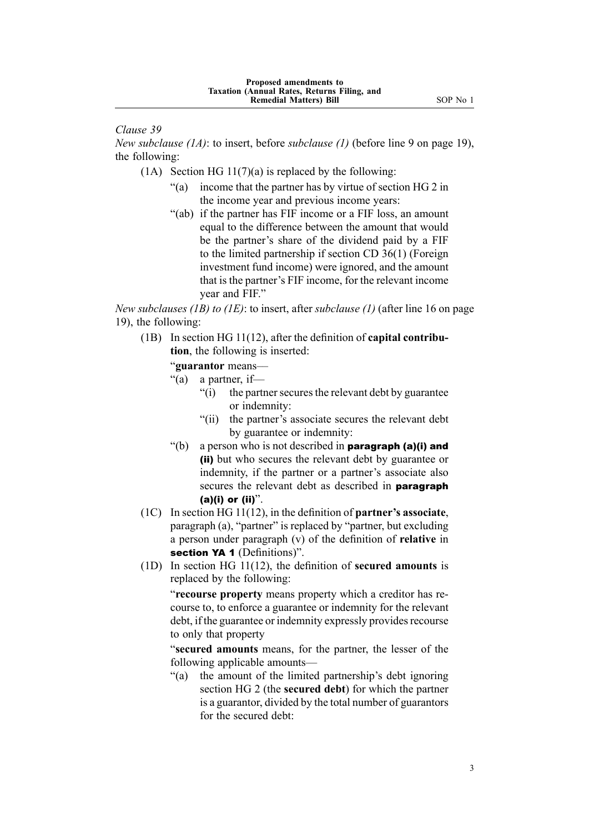*Clause 39*

*New subclause (1A)*: to insert, before *subclause (1)* (before line 9 on page 19), the following:

- (1A) Section HG  $11(7)(a)$  is replaced by the following:
	- "(a) income that the partner has by virtue of section HG 2 in the income year and previous income years:
	- "(ab) if the partner has FIF income or <sup>a</sup> FIF loss, an amount equal to the difference between the amount that would be the partner's share of the dividend paid by <sup>a</sup> FIF to the limited partnership if section CD 36(1) (Foreign investment fund income) were ignored, and the amount that is the partner's FIF income, for the relevant income year and FIF."

*New subclauses (1B) to (1E)*: to insert, after *subclause (1)* (after line 16 on page 19), the following:

(1B) In section HG 11(12), after the definition of **capital contribution**, the following is inserted:

"**guarantor** means––

- "(a) a partner, if
	- $f(i)$  the partner secures the relevant debt by guarantee or indemnity:
	- "(ii) the partner's associate secures the relevant debt by guarantee or indemnity:
- $\degree$ (b) a person who is not described in **paragraph (a)(i) and** (ii) but who secures the relevant debt by guarantee or indemnity, if the partner or <sup>a</sup> partner's associate also secures the relevant debt as described in **paragraph**  $(a)(i)$  or  $(ii)$ ".
- (1C) In section HG 11(12), in the definition of **partner's associate**, paragraph (a), "partner" is replaced by "partner, but excluding <sup>a</sup> person under paragraph (v) of the definition of **relative** in section YA 1 (Definitions)".
- (1D) In section HG 11(12), the definition of **secured amounts** is replaced by the following:

"**recourse property** means property which <sup>a</sup> creditor has recourse to, to enforce <sup>a</sup> guarantee or indemnity for the relevant debt, if the guarantee or indemnity expressly provides recourse to only that property

"**secured amounts** means, for the partner, the lesser of the following applicable amounts—

"(a) the amount of the limited partnership's debt ignoring section HG 2 (the **secured debt**) for which the partner is <sup>a</sup> guarantor, divided by the total number of guarantors for the secured debt: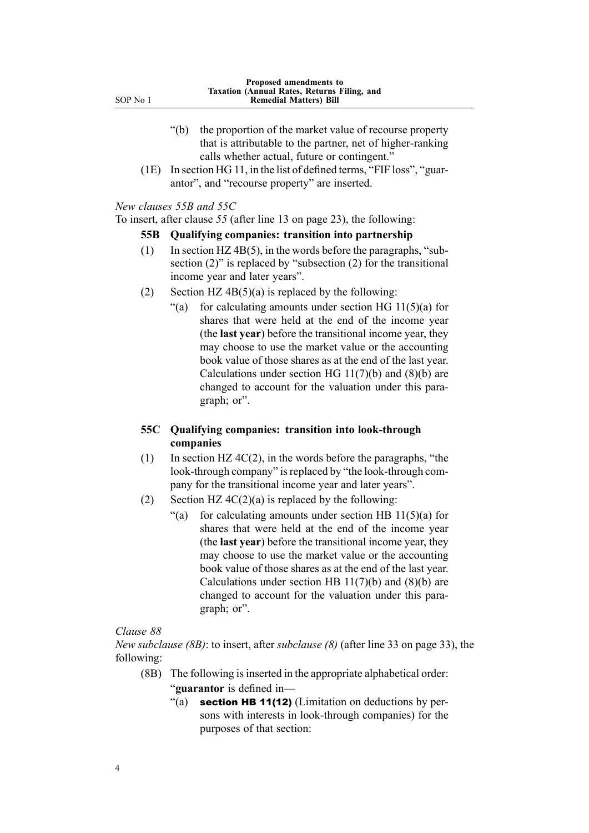| SOP No | 1 |
|--------|---|
|        |   |

- "(b) the proportion of the market value of recourse property that is attributable to the partner, net of higher-ranking calls whether actual, future or contingent."
- (1E) In section HG 11, in the list of defined terms, "FIF loss", "guarantor", and "recourse property" are inserted.

*New clauses 55B and 55C*

To insert, after clause *55* (after line 13 on page 23), the following:

### **55B Qualifying companies: transition into partnership**

- (1) In section HZ 4B(5), in the words before the paragraphs, "subsection (2)" is replaced by "subsection (2) for the transitional income year and later years".
- (2) Section HZ  $4B(5)(a)$  is replaced by the following:
	- "(a) for calculating amounts under section HG  $11(5)(a)$  for shares that were held at the end of the income year (the **last year**) before the transitional income year, they may choose to use the market value or the accounting book value of those shares as at the end of the last year. Calculations under section HG  $11(7)(b)$  and  $(8)(b)$  are changed to account for the valuation under this paragraph; or".

## **55C Qualifying companies: transition into look-through companies**

- (1) In section HZ  $4C(2)$ , in the words before the paragraphs, "the look-through company" is replaced by "the look-through company for the transitional income year and later years".
- (2) Section HZ  $4C(2)(a)$  is replaced by the following:
	- "(a) for calculating amounts under section HB  $11(5)(a)$  for shares that were held at the end of the income year (the **last year**) before the transitional income year, they may choose to use the market value or the accounting book value of those shares as at the end of the last year. Calculations under section HB 11(7)(b) and (8)(b) are changed to account for the valuation under this paragraph; or".

### *Clause 88*

*New subclause (8B)*: to insert, after *subclause (8)* (after line 33 on page 33), the following:

- (8B) The following isinserted in the appropriate alphabetical order:
	- "**guarantor** is defined in—
		- "(a) section HB 11(12) (Limitation on deductions by persons with interests in look-through companies) for the purposes of that section: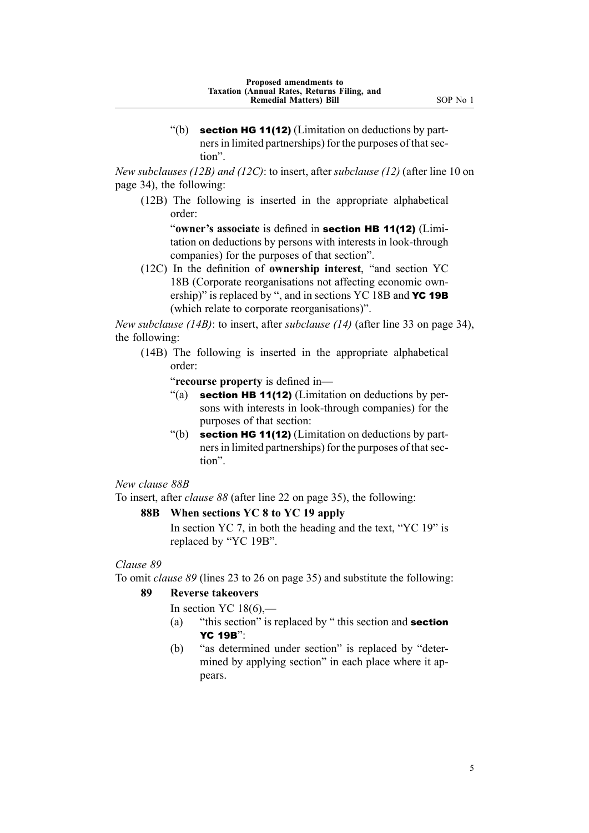*New subclauses (12B) and (12C)*: to insert, after *subclause (12)* (after line 10 on page 34), the following:

(12B) The following is inserted in the appropriate alphabetical order:

"**owner's associate** is defined in section HB 11(12) (Limitation on deductions by persons with interests in look-through companies) for the purposes of that section".

(12C) In the definition of **ownership interest**, "and section YC 18B (Corporate reorganisations not affecting economic ownership)" is replaced by ", and in sections YC 18B and **YC 19B** (which relate to corporate reorganisations)".

*New subclause (14B)*: to insert, after *subclause (14)* (after line 33 on page 34), the following:

(14B) The following is inserted in the appropriate alphabetical order:

"**recourse property** is defined in—

- "(a) section HB 11(12) (Limitation on deductions by persons with interests in look-through companies) for the purposes of that section:
- "(b) section HG 11(12) (Limitation on deductions by partners in limited partnerships) for the purposes of that section".

*New clause 88B*

To insert, after *clause 88* (after line 22 on page 35), the following:

# **88B When sections YC 8 to YC 19 apply**

In section YC 7, in both the heading and the text, "YC 19" is replaced by "YC 19B".

# *Clause 89*

To omit *clause 89* (lines 23 to 26 on page 35) and substitute the following:

# **89 Reverse takeovers**

In section YC  $18(6)$ ,—

- (a) "this section" is replaced by "this section and **section** YC 19B":
- (b) "as determined under section" is replaced by "determined by applying section" in each place where it appears.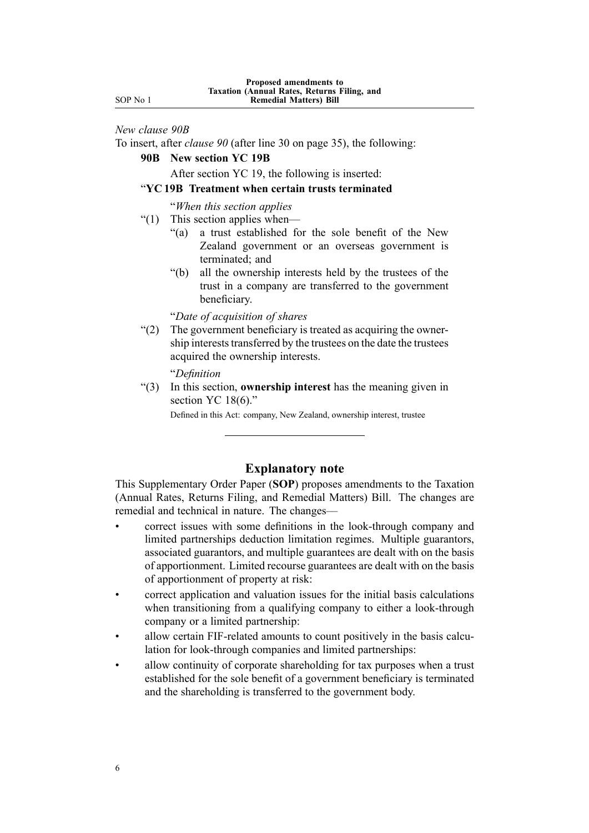SOP No 1

#### *New clause 90B*

To insert, after *clause 90* (after line 30 on page 35), the following:

# **90B New section YC 19B**

After section YC 19, the following is inserted:

#### "**YC 19B Treatment when certain trusts terminated**

"*When this section applies*

- "(1) This section applies when—
	- "(a) <sup>a</sup> trust established for the sole benefit of the New Zealand governmen<sup>t</sup> or an overseas governmen<sup>t</sup> is terminated; and
	- "(b) all the ownership interests held by the trustees of the trust in <sup>a</sup> company are transferred to the governmen<sup>t</sup> beneficiary.

"*Date of acquisition of shares*

"(2) The governmen<sup>t</sup> beneficiary is treated as acquiring the ownership interests transferred by the trustees on the date the trustees acquired the ownership interests.

"*Definition*

"(3) In this section, **ownership interest** has the meaning given in section YC 18(6)."

Defined in this Act: company, New Zealand, ownership interest, trustee

# **Explanatory note**

This Supplementary Order Paper (**SOP**) proposes amendments to the Taxation (Annual Rates, Returns Filing, and Remedial Matters) Bill. The changes are remedial and technical in nature. The changes––

- • correct issues with some definitions in the look-through company and limited partnerships deduction limitation regimes. Multiple guarantors, associated guarantors, and multiple guarantees are dealt with on the basis of apportionment. Limited recourse guarantees are dealt with on the basis of apportionment of property at risk:
- • correct application and valuation issues for the initial basis calculations when transitioning from <sup>a</sup> qualifying company to either <sup>a</sup> look-through company or <sup>a</sup> limited partnership:
- • allow certain FIF-related amounts to count positively in the basis calculation for look-through companies and limited partnerships:
- • allow continuity of corporate shareholding for tax purposes when <sup>a</sup> trust established for the sole benefit of <sup>a</sup> governmen<sup>t</sup> beneficiary is terminated and the shareholding is transferred to the governmen<sup>t</sup> body.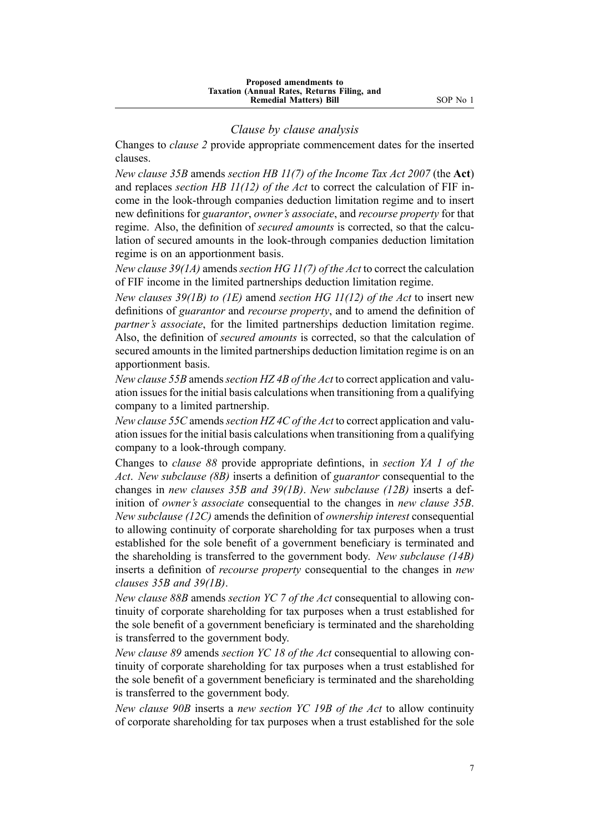#### *Clause by clause analysis*

Changes to *clause 2* provide appropriate commencement dates for the inserted clauses.

*New clause 35B* amends *section HB 11(7) of the Income Tax Act 2007* (the **Act**) and replaces *section HB 11(12) of the Act* to correct the calculation of FIF income in the look-through companies deduction limitation regime and to insert new definitions for *guarantor*, *owner's associate*, and *recourse property* for that regime. Also, the definition of *secured amounts* is corrected, so that the calculation of secured amounts in the look-through companies deduction limitation regime is on an apportionment basis.

*New clause 39(1A)* amends *section HG 11(7) of the Act* to correct the calculation of FIF income in the limited partnerships deduction limitation regime.

*New clauses 39(1B) to (1E)* amend *section HG 11(12) of the Act* to insert new definitions of *guarantor* and *recourse property*, and to amend the definition of *partner's associate*, for the limited partnerships deduction limitation regime. Also, the definition of *secured amounts* is corrected, so that the calculation of secured amounts in the limited partnerships deduction limitation regime is on an apportionment basis.

*New clause 55B* amends*section HZ 4B of the Act* to correct application and valuation issuesfor the initial basis calculations when transitioning from <sup>a</sup> qualifying company to <sup>a</sup> limited partnership.

*New clause 55C* amends*section HZ 4C of the Act* to correct application and valuation issues for the initial basis calculations when transitioning from a qualifying company to <sup>a</sup> look-through company.

Changes to *clause 88* provide appropriate defintions, in *section YA 1 of the Act*. *New subclause (8B)* inserts <sup>a</sup> definition of *guarantor* consequential to the changes in *new clauses 35B and 39(1B)*. *New subclause (12B)* inserts <sup>a</sup> definition of *owner's associate* consequential to the changes in *new clause 35B*. *New subclause (12C)* amends the definition of *ownership interest* consequential to allowing continuity of corporate shareholding for tax purposes when <sup>a</sup> trust established for the sole benefit of <sup>a</sup> governmen<sup>t</sup> beneficiary is terminated and the shareholding is transferred to the governmen<sup>t</sup> body. *New subclause (14B)* inserts <sup>a</sup> definition of *recourse property* consequential to the changes in *new clauses 35B and 39(1B)*.

*New clause 88B* amends *section YC 7 of the Act* consequential to allowing continuity of corporate shareholding for tax purposes when <sup>a</sup> trust established for the sole benefit of <sup>a</sup> governmen<sup>t</sup> beneficiary is terminated and the shareholding is transferred to the governmen<sup>t</sup> body.

*New clause 89* amends *section YC 18 of the Act* consequential to allowing continuity of corporate shareholding for tax purposes when <sup>a</sup> trust established for the sole benefit of <sup>a</sup> governmen<sup>t</sup> beneficiary is terminated and the shareholding is transferred to the governmen<sup>t</sup> body.

*New clause 90B* inserts <sup>a</sup> *new section YC 19B of the Act* to allow continuity of corporate shareholding for tax purposes when <sup>a</sup> trust established for the sole